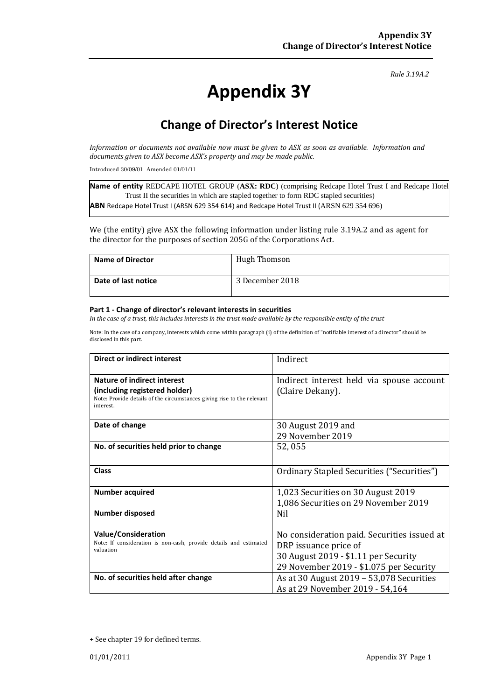*Rule 3.19A.2*

# **Appendix 3Y**

# **Change of Director's Interest Notice**

*Information or documents not available now must be given to ASX as soon as available. Information and documents given to ASX become ASX's property and may be made public.*

Introduced 30/09/01 Amended 01/01/11

**Name of entity** REDCAPE HOTEL GROUP (**ASX: RDC**) (comprising Redcape Hotel Trust I and Redcape Hotel Trust II the securities in which are stapled together to form RDC stapled securities) **ABN** Redcape Hotel Trust I (ARSN 629 354 614) and Redcape Hotel Trust II (ARSN 629 354 696)

We (the entity) give ASX the following information under listing rule 3.19A.2 and as agent for the director for the purposes of section 205G of the Corporations Act.

| Name of Director    | <b>Hugh Thomson</b> |
|---------------------|---------------------|
| Date of last notice | 3 December 2018     |

#### **Part 1 - Change of director's relevant interests in securities**

*In the case of a trust, this includes interests in the trust made available by the responsible entity of the trust*

Note: In the case of a company, interests which come within paragraph (i) of the definition of "notifiable interest of a director" should be disclosed in this part.

| Direct or indirect interest                                                                                                                         | Indirect                                                                                                                                                |
|-----------------------------------------------------------------------------------------------------------------------------------------------------|---------------------------------------------------------------------------------------------------------------------------------------------------------|
| Nature of indirect interest<br>(including registered holder)<br>Note: Provide details of the circumstances giving rise to the relevant<br>interest. | Indirect interest held via spouse account<br>(Claire Dekany).                                                                                           |
| Date of change                                                                                                                                      | 30 August 2019 and<br>29 November 2019                                                                                                                  |
| No. of securities held prior to change                                                                                                              | 52,055                                                                                                                                                  |
| Class                                                                                                                                               | Ordinary Stapled Securities ("Securities")                                                                                                              |
| <b>Number acquired</b>                                                                                                                              | 1,023 Securities on 30 August 2019<br>1,086 Securities on 29 November 2019                                                                              |
| Number disposed                                                                                                                                     | <b>Nil</b>                                                                                                                                              |
| <b>Value/Consideration</b><br>Note: If consideration is non-cash, provide details and estimated<br>valuation                                        | No consideration paid. Securities issued at<br>DRP issuance price of<br>30 August 2019 - \$1.11 per Security<br>29 November 2019 - \$1.075 per Security |
| No. of securities held after change                                                                                                                 | As at 30 August 2019 - 53,078 Securities<br>As at 29 November 2019 - 54,164                                                                             |

<sup>+</sup> See chapter 19 for defined terms.